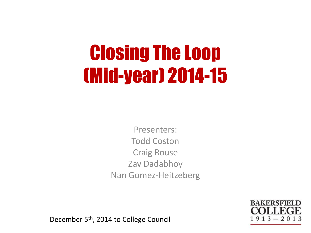## Closing The Loop (Mid-year) 2014-15

Presenters: Todd Coston Craig Rouse Zav Dadabhoy Nan Gomez-Heitzeberg

> **RAKFRSFIFI**  $1913 - 20$

December 5th, 2014 to College Council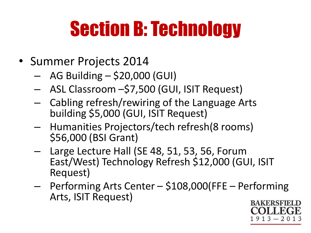# Section B: Technology

- Summer Projects 2014
	- $-$  AG Building  $-$  \$20,000 (GUI)
	- ASL Classroom –\$7,500 (GUI, ISIT Request)
	- Cabling refresh/rewiring of the Language Arts building \$5,000 (GUI, ISIT Request)
	- Humanities Projectors/tech refresh(8 rooms) \$56,000 (BSI Grant)
	- Large Lecture Hall (SE 48, 51, 53, 56, Forum East/West) Technology Refresh \$12,000 (GUI, ISIT Request)
	- Performing Arts Center \$108,000(FFE Performing Arts, ISIT Request)

**RAKFRSFIFI** 1  $13 - 20$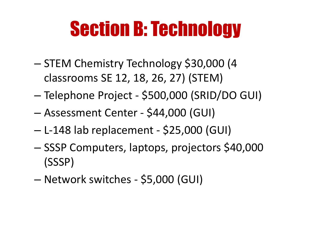## Section B: Technology

- STEM Chemistry Technology \$30,000 (4 classrooms SE 12, 18, 26, 27) (STEM)
- Telephone Project \$500,000 (SRID/DO GUI)
- Assessment Center \$44,000 (GUI)
- L-148 lab replacement \$25,000 (GUI)
- SSSP Computers, laptops, projectors \$40,000 (SSSP)
- Network switches \$5,000 (GUI)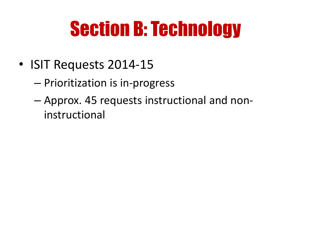## Section B: Technology

- ISIT Requests 2014-15
	- Prioritization is in-progress
	- Approx. 45 requests instructional and noninstructional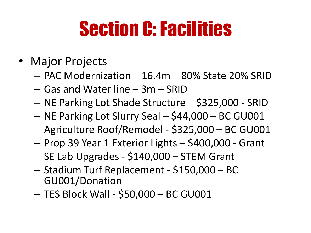## Section C: Facilities

#### • Major Projects

- PAC Modernization 16.4m 80% State 20% SRID
- Gas and Water line 3m SRID
- NE Parking Lot Shade Structure \$325,000 SRID
- NE Parking Lot Slurry Seal \$44,000 BC GU001
- Agriculture Roof/Remodel \$325,000 BC GU001
- Prop 39 Year 1 Exterior Lights \$400,000 Grant
- SE Lab Upgrades \$140,000 STEM Grant
- Stadium Turf Replacement \$150,000 BC GU001/Donation
- TES Block Wall \$50,000 BC GU001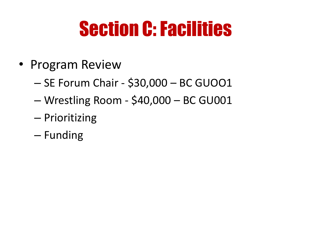## Section C: Facilities

- Program Review
	- SE Forum Chair \$30,000 BC GUOO1
	- Wrestling Room \$40,000 BC GU001
	- Prioritizing
	- Funding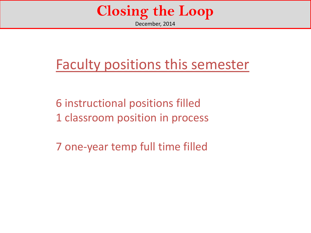#### **Closing the Loop** December, 2014

#### Faculty positions this semester

6 instructional positions filled 1 classroom position in process

7 one-year temp full time filled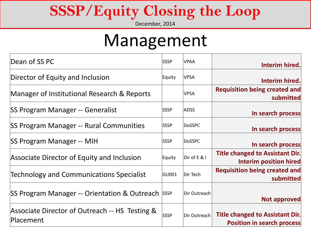### **SSSP/Equity Closing the Loop**

December, 2014

### Management

| Dean of SS PC                                               | <b>SSSP</b> | <b>VPAA</b>    | Interim hired.                                                              |
|-------------------------------------------------------------|-------------|----------------|-----------------------------------------------------------------------------|
| Director of Equity and Inclusion                            | Equity      | <b>VPSA</b>    | Interim hired.                                                              |
| Manager of Institutional Research & Reports                 |             | <b>VPSA</b>    | <b>Requisition being created and</b><br>submitted                           |
| SS Program Manager -- Generalist                            | <b>SSSP</b> | <b>ADSS</b>    | In search process                                                           |
| SS Program Manager -- Rural Communities                     | <b>SSSP</b> | DoSSPC         | In search process                                                           |
| SS Program Manager -- MIH                                   | <b>SSSP</b> | DoSSPC         | In search process                                                           |
| Associate Director of Equity and Inclusion                  | Equity      | $Dir$ of E & I | <b>Title changed to Assistant Dir.</b><br><b>Interim position hired</b>     |
| <b>Technology and Communications Specialist</b>             | GU001       | Dir Tech       | Requisition being created and<br>submitted                                  |
| SS Program Manager -- Orientation & Outreach SSSP           |             | Dir Outreach   | <b>Not approved</b>                                                         |
| Associate Director of Outreach -- HS Testing &<br>Placement | <b>SSSP</b> | Dir Outreach   | <b>Title changed to Assistant Dir.</b><br><b>Position in search process</b> |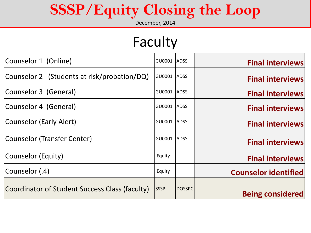### **SSSP/Equity Closing the Loop**

December, 2014

### Faculty

| Counselor 1 (Online)                           | GU0001      | <b>ADSS</b>   | <b>Final interviews</b>     |
|------------------------------------------------|-------------|---------------|-----------------------------|
| Counselor 2 (Students at risk/probation/DQ)    | GU0001      | <b>ADSS</b>   | <b>Final interviews</b>     |
| Counselor 3 (General)                          | GU0001      | ADSS          | <b>Final interviews</b>     |
| Counselor 4 (General)                          | GU0001      | <b>ADSS</b>   | <b>Final interviews</b>     |
| Counselor (Early Alert)                        | GU0001      | ADSS          | <b>Final interviews</b>     |
| Counselor (Transfer Center)                    | GU0001      | <b>ADSS</b>   | <b>Final interviews</b>     |
| Counselor (Equity)                             | Equity      |               | <b>Final interviews</b>     |
| Counselor (.4)                                 | Equity      |               | <b>Counselor identified</b> |
| Coordinator of Student Success Class (faculty) | <b>SSSP</b> | <b>DOSSPC</b> | <b>Being considered</b>     |